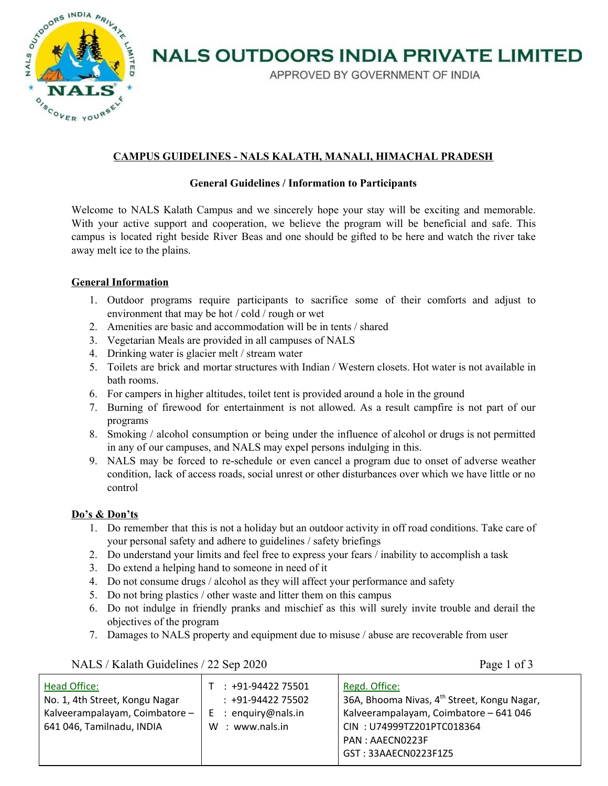

## **NALS OUTDOORS INDIA PRIVATE LIMITED**

APPROVED BY GOVERNMENT OF INDIA

### **CAMPUS GUIDELINES - NALS KALATH, MANALI, HIMACHAL PRADESH**

#### **General Guidelines / Information to Participants**

Welcome to NALS Kalath Campus and we sincerely hope your stay will be exciting and memorable. With your active support and cooperation, we believe the program will be beneficial and safe. This campus is located right beside River Beas and one should be gifted to be here and watch the river take away melt ice to the plains.

#### **General Information**

- 1. Outdoor programs require participants to sacrifice some of their comforts and adjust to environment that may be hot / cold / rough or wet
- 2. Amenities are basic and accommodation will be in tents / shared
- 3. Vegetarian Meals are provided in all campuses of NALS
- 4. Drinking water is glacier melt / stream water
- 5. Toilets are brick and mortar structures with Indian / Western closets. Hot water is not available in bath rooms.
- 6. For campers in higher altitudes, toilet tent is provided around a hole in the ground
- 7. Burning of firewood for entertainment is not allowed. As a result campfire is not part of our programs
- 8. Smoking / alcohol consumption or being under the influence of alcohol or drugs is not permitted in any of our campuses, and NALS may expel persons indulging in this.
- 9. NALS may be forced to re-schedule or even cancel a program due to onset of adverse weather condition, lack of access roads, social unrest or other disturbances over which we have little or no control

#### **Do's & Don'ts**

- 1. Do remember that this is not a holiday but an outdoor activity in off road conditions. Take care of your personal safety and adhere to guidelines / safety briefings
- 2. Do understand your limits and feel free to express your fears / inability to accomplish a task
- 3. Do extend a helping hand to someone in need of it
- 4. Do not consume drugs / alcohol as they will affect your performance and safety
- 5. Do not bring plastics / other waste and litter them on this campus
- 6. Do not indulge in friendly pranks and mischief as this will surely invite trouble and derail the objectives of the program
- 7. Damages to NALS property and equipment due to misuse / abuse are recoverable from user

|  | NALS / Kalath Guidelines / 22 Sep 2020 |  |
|--|----------------------------------------|--|
|  |                                        |  |

Page 1 of 3

| <b>Head Office:</b><br>No. 1, 4th Street, Kongu Nagar<br>Kalveerampalayam, Coimbatore -<br>641 046, Tamilnadu, INDIA | $: +91-9442275501$<br>$: +91-9442275502$<br>$E$ : enquiry@nals.in<br>W : www.nals.in | Regd. Office:<br>36A, Bhooma Nivas, 4 <sup>th</sup> Street, Kongu Nagar,<br>Kalveerampalayam, Coimbatore - 641 046<br>CIN: U74999TZ201PTC018364<br>PAN: AAECN0223F |
|----------------------------------------------------------------------------------------------------------------------|--------------------------------------------------------------------------------------|--------------------------------------------------------------------------------------------------------------------------------------------------------------------|
|                                                                                                                      |                                                                                      | GST: 33AAECN0223F1Z5                                                                                                                                               |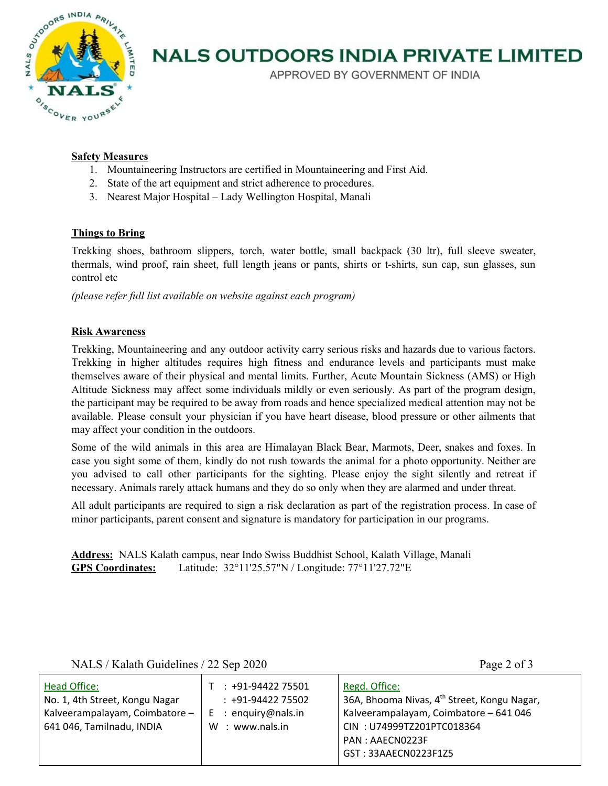

### **NALS OUTDOORS INDIA PRIVATE LIMITED**

APPROVED BY GOVERNMENT OF INDIA

#### **Safety Measures**

- 1. Mountaineering Instructors are certified in Mountaineering and First Aid.
- 2. State of the art equipment and strict adherence to procedures.
- 3. Nearest Major Hospital Lady Wellington Hospital, Manali

#### **Things to Bring**

Trekking shoes, bathroom slippers, torch, water bottle, small backpack (30 ltr), full sleeve sweater, thermals, wind proof, rain sheet, full length jeans or pants, shirts or t-shirts, sun cap, sun glasses, sun control etc

*(please refer full list available on website against each program)*

#### **Risk Awareness**

Trekking, Mountaineering and any outdoor activity carry serious risks and hazards due to various factors. Trekking in higher altitudes requires high fitness and endurance levels and participants must make themselves aware of their physical and mental limits. Further, Acute Mountain Sickness (AMS) or High Altitude Sickness may affect some individuals mildly or even seriously. As part of the program design, the participant may be required to be away from roads and hence specialized medical attention may not be available. Please consult your physician if you have heart disease, blood pressure or other ailments that may affect your condition in the outdoors.

Some of the wild animals in this area are Himalayan Black Bear, Marmots, Deer, snakes and foxes. In case you sight some of them, kindly do not rush towards the animal for a photo opportunity. Neither are you advised to call other participants for the sighting. Please enjoy the sight silently and retreat if necessary. Animals rarely attack humans and they do so only when they are alarmed and under threat.

All adult participants are required to sign a risk declaration as part of the registration process. In case of minor participants, parent consent and signature is mandatory for participation in our programs.

**Address:** NALS Kalath campus, near Indo Swiss Buddhist School, Kalath Village, Manali **GPS Coordinates:** Latitude: 32°11'25.57"N / Longitude: 77°11'27.72"E

NALS / Kalath Guidelines / 22 Sep 2020 Page 2 of 3